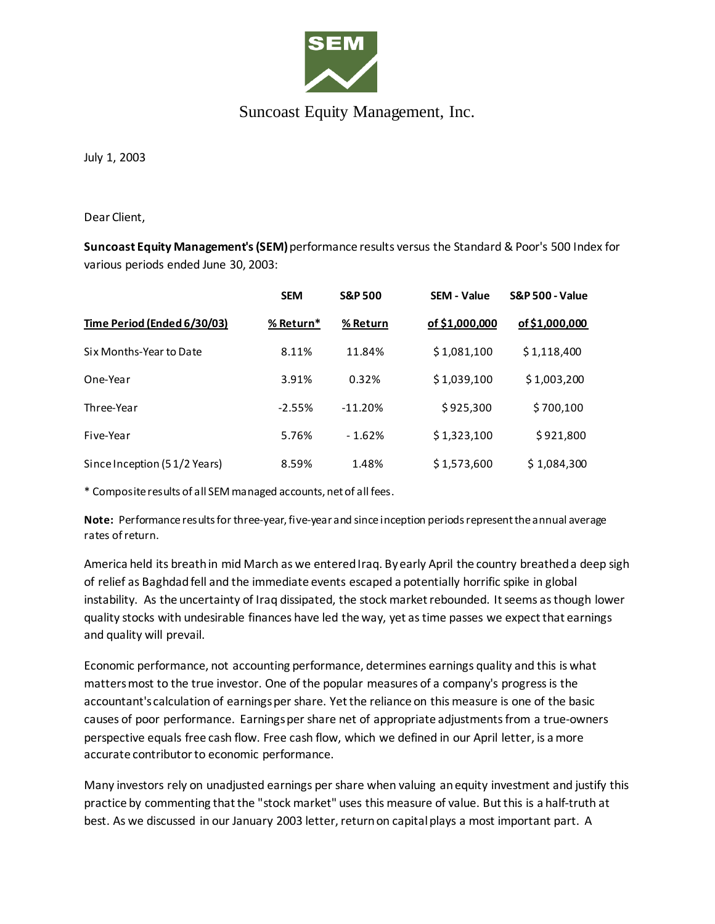

## Suncoast Equity Management, Inc.

July 1, 2003

Dear Client,

**Suncoast Equity Management's (SEM)**performance results versus the Standard & Poor's 500 Index for various periods ended June 30, 2003:

|                              | <b>SEM</b> | <b>S&amp;P 500</b> | <b>SEM - Value</b> | <b>S&amp;P 500 - Value</b> |
|------------------------------|------------|--------------------|--------------------|----------------------------|
| Time Period (Ended 6/30/03)  | % Return*  | % Return           | of \$1,000,000     | of \$1,000,000             |
| Six Months-Year to Date      | 8.11%      | 11.84%             | \$1,081,100        | \$1,118,400                |
| One-Year                     | 3.91%      | 0.32%              | \$1,039,100        | \$1,003,200                |
| Three-Year                   | $-2.55%$   | $-11.20%$          | \$925,300          | \$700,100                  |
| Five-Year                    | 5.76%      | $-1.62%$           | \$1,323,100        | \$921,800                  |
| Since Inception (51/2 Years) | 8.59%      | 1.48%              | \$1,573,600        | \$1,084,300                |

\* Composite results of all SEM managed accounts, net of all fees.

**Note:** Performance results for three-year, five-year and since inception periods represent the annual average rates of return.

America held its breath in mid March as we entered Iraq. By early April the country breathed a deep sigh of relief as Baghdad fell and the immediate events escaped a potentially horrific spike in global instability. As the uncertainty of Iraq dissipated, the stock market rebounded. It seems as though lower quality stocks with undesirable finances have led the way, yet as time passes we expect that earnings and quality will prevail.

Economic performance, not accounting performance, determines earnings quality and this is what matters most to the true investor. One of the popular measures of a company's progress is the accountant's calculation of earnings per share. Yet the reliance on this measure is one of the basic causes of poor performance. Earnings per share net of appropriate adjustments from a true-owners perspective equals free cash flow. Free cash flow, which we defined in our April letter, is a more accurate contributor to economic performance.

Many investors rely on unadjusted earnings per share when valuing an equity investment and justify this practice by commenting that the "stock market" uses this measure of value. But this is a half-truth at best. As we discussed in our January 2003 letter, return on capital plays a most important part. A